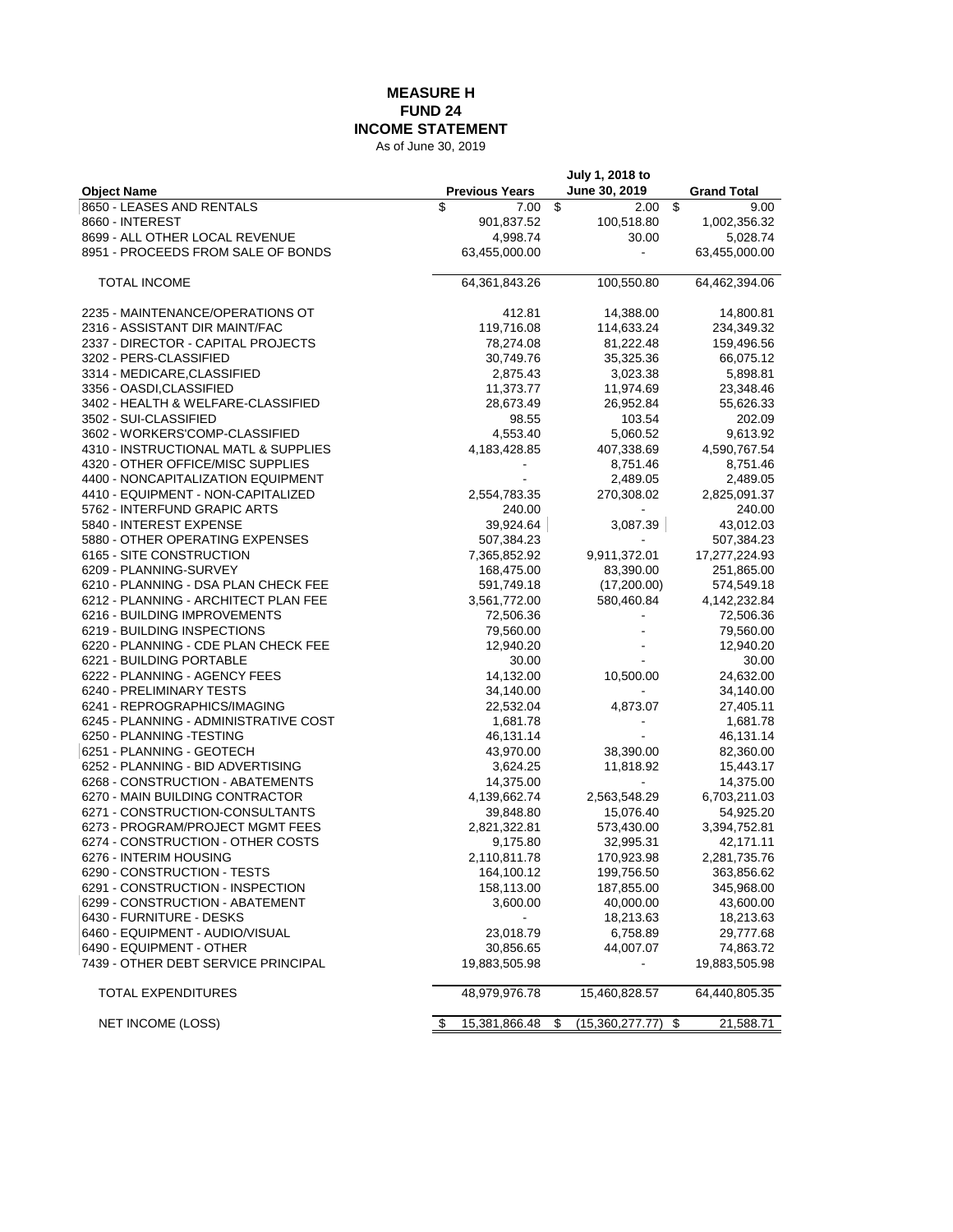## **MEASURE H FUND 24 INCOME STATEMENT**

As of June 30, 2019

| <b>Previous Years</b><br>June 30, 2019<br><b>Object Name</b><br><b>Grand Total</b><br>8650 - LEASES AND RENTALS<br>\$<br>\$<br>\$<br>7.00<br>2.00<br>9.00<br>8660 - INTEREST<br>901,837.52<br>100,518.80<br>1,002,356.32<br>8699 - ALL OTHER LOCAL REVENUE<br>4,998.74<br>30.00<br>5,028.74<br>8951 - PROCEEDS FROM SALE OF BONDS<br>63,455,000.00<br>63,455,000.00<br>100,550.80<br>TOTAL INCOME<br>64,361,843.26<br>64,462,394.06<br>2235 - MAINTENANCE/OPERATIONS OT<br>412.81<br>14,388.00<br>14,800.81<br>2316 - ASSISTANT DIR MAINT/FAC<br>119,716.08<br>114,633.24<br>234,349.32<br>2337 - DIRECTOR - CAPITAL PROJECTS<br>78,274.08<br>81,222.48<br>159,496.56<br>3202 - PERS-CLASSIFIED<br>30,749.76<br>35,325.36<br>66,075.12<br>2,875.43<br>5,898.81<br>3314 - MEDICARE,CLASSIFIED<br>3,023.38<br>11,373.77<br>11,974.69<br>23,348.46<br>3356 - OASDI,CLASSIFIED<br>28,673.49<br>55,626.33<br>3402 - HEALTH & WELFARE-CLASSIFIED<br>26,952.84<br>103.54<br>202.09<br>3502 - SUI-CLASSIFIED<br>98.55<br>5,060.52<br>3602 - WORKERS'COMP-CLASSIFIED<br>4,553.40<br>9,613.92<br>4310 - INSTRUCTIONAL MATL & SUPPLIES<br>4,183,428.85<br>407,338.69<br>4,590,767.54<br>4320 - OTHER OFFICE/MISC SUPPLIES<br>8,751.46<br>8,751.46<br>4400 - NONCAPITALIZATION EQUIPMENT<br>2,489.05<br>2,489.05<br>4410 - EQUIPMENT - NON-CAPITALIZED<br>2,554,783.35<br>270,308.02<br>2,825,091.37<br>5762 - INTERFUND GRAPIC ARTS<br>240.00<br>240.00<br>5840 - INTEREST EXPENSE<br>39,924.64<br>43,012.03<br>3,087.39<br>5880 - OTHER OPERATING EXPENSES<br>507,384.23<br>507,384.23<br>6165 - SITE CONSTRUCTION<br>7,365,852.92<br>9,911,372.01<br>17,277,224.93<br>6209 - PLANNING-SURVEY<br>168,475.00<br>83,390.00<br>251,865.00<br>6210 - PLANNING - DSA PLAN CHECK FEE<br>(17,200.00)<br>591,749.18<br>574,549.18<br>6212 - PLANNING - ARCHITECT PLAN FEE<br>3,561,772.00<br>580,460.84<br>4, 142, 232.84<br>6216 - BUILDING IMPROVEMENTS<br>72,506.36<br>72,506.36<br>6219 - BUILDING INSPECTIONS<br>79,560.00<br>79,560.00<br>12,940.20<br>6220 - PLANNING - CDE PLAN CHECK FEE<br>12,940.20<br>6221 - BUILDING PORTABLE<br>30.00<br>30.00<br>24,632.00<br>6222 - PLANNING - AGENCY FEES<br>14,132.00<br>10,500.00<br>6240 - PRELIMINARY TESTS<br>34,140.00<br>34,140.00<br>6241 - REPROGRAPHICS/IMAGING<br>22,532.04<br>4,873.07<br>27,405.11<br>1,681.78<br>1,681.78<br>6245 - PLANNING - ADMINISTRATIVE COST<br>6250 - PLANNING -TESTING<br>46,131.14<br>46,131.14<br>6251 - PLANNING - GEOTECH<br>43,970.00<br>38,390.00<br>82,360.00<br>3,624.25<br>6252 - PLANNING - BID ADVERTISING<br>11,818.92<br>15,443.17<br>6268 - CONSTRUCTION - ABATEMENTS<br>14,375.00<br>14,375.00<br>6270 - MAIN BUILDING CONTRACTOR<br>4,139,662.74<br>2,563,548.29<br>6,703,211.03<br>6271 - CONSTRUCTION-CONSULTANTS<br>39,848.80<br>15,076.40<br>54,925.20<br>6273 - PROGRAM/PROJECT MGMT FEES<br>2,821,322.81<br>573,430.00<br>3,394,752.81<br>6274 - CONSTRUCTION - OTHER COSTS<br>9,175.80<br>32,995.31<br>42,171.11<br>6276 - INTERIM HOUSING<br>2,110,811.78<br>170,923.98<br>2,281,735.76<br>164,100.12<br>6290 - CONSTRUCTION - TESTS<br>199,756.50<br>363,856.62<br>6291 - CONSTRUCTION - INSPECTION<br>158,113.00<br>187,855.00<br>345,968.00<br>6299 - CONSTRUCTION - ABATEMENT<br>3,600.00<br>40,000.00<br>43,600.00<br>6430 - FURNITURE - DESKS<br>18,213.63<br>18,213.63<br>6460 - EQUIPMENT - AUDIO/VISUAL<br>6,758.89<br>23,018.79<br>29,777.68<br>6490 - EQUIPMENT - OTHER<br>44,007.07<br>74,863.72<br>30,856.65<br>7439 - OTHER DEBT SERVICE PRINCIPAL<br>19,883,505.98<br>19,883,505.98<br>48,979,976.78<br>64,440,805.35<br>TOTAL EXPENDITURES<br>15,460,828.57<br>NET INCOME (LOSS)<br>15,381,866.48<br>21,588.71<br>\$<br>(15,360,277.77)<br>\$<br>\$ |  | July 1, 2018 to |  |
|------------------------------------------------------------------------------------------------------------------------------------------------------------------------------------------------------------------------------------------------------------------------------------------------------------------------------------------------------------------------------------------------------------------------------------------------------------------------------------------------------------------------------------------------------------------------------------------------------------------------------------------------------------------------------------------------------------------------------------------------------------------------------------------------------------------------------------------------------------------------------------------------------------------------------------------------------------------------------------------------------------------------------------------------------------------------------------------------------------------------------------------------------------------------------------------------------------------------------------------------------------------------------------------------------------------------------------------------------------------------------------------------------------------------------------------------------------------------------------------------------------------------------------------------------------------------------------------------------------------------------------------------------------------------------------------------------------------------------------------------------------------------------------------------------------------------------------------------------------------------------------------------------------------------------------------------------------------------------------------------------------------------------------------------------------------------------------------------------------------------------------------------------------------------------------------------------------------------------------------------------------------------------------------------------------------------------------------------------------------------------------------------------------------------------------------------------------------------------------------------------------------------------------------------------------------------------------------------------------------------------------------------------------------------------------------------------------------------------------------------------------------------------------------------------------------------------------------------------------------------------------------------------------------------------------------------------------------------------------------------------------------------------------------------------------------------------------------------------------------------------------------------------------------------------------------------------------------------------------------------------------------------------------------------------------------------------------------------------------------------------------------------------------------------------------------------------------------------------------------------------------------------------------------------------------------------------------------------------------------------------------------------------------------------------------------------------------------------------------------------------------------|--|-----------------|--|
|                                                                                                                                                                                                                                                                                                                                                                                                                                                                                                                                                                                                                                                                                                                                                                                                                                                                                                                                                                                                                                                                                                                                                                                                                                                                                                                                                                                                                                                                                                                                                                                                                                                                                                                                                                                                                                                                                                                                                                                                                                                                                                                                                                                                                                                                                                                                                                                                                                                                                                                                                                                                                                                                                                                                                                                                                                                                                                                                                                                                                                                                                                                                                                                                                                                                                                                                                                                                                                                                                                                                                                                                                                                                                                                                                                  |  |                 |  |
|                                                                                                                                                                                                                                                                                                                                                                                                                                                                                                                                                                                                                                                                                                                                                                                                                                                                                                                                                                                                                                                                                                                                                                                                                                                                                                                                                                                                                                                                                                                                                                                                                                                                                                                                                                                                                                                                                                                                                                                                                                                                                                                                                                                                                                                                                                                                                                                                                                                                                                                                                                                                                                                                                                                                                                                                                                                                                                                                                                                                                                                                                                                                                                                                                                                                                                                                                                                                                                                                                                                                                                                                                                                                                                                                                                  |  |                 |  |
|                                                                                                                                                                                                                                                                                                                                                                                                                                                                                                                                                                                                                                                                                                                                                                                                                                                                                                                                                                                                                                                                                                                                                                                                                                                                                                                                                                                                                                                                                                                                                                                                                                                                                                                                                                                                                                                                                                                                                                                                                                                                                                                                                                                                                                                                                                                                                                                                                                                                                                                                                                                                                                                                                                                                                                                                                                                                                                                                                                                                                                                                                                                                                                                                                                                                                                                                                                                                                                                                                                                                                                                                                                                                                                                                                                  |  |                 |  |
|                                                                                                                                                                                                                                                                                                                                                                                                                                                                                                                                                                                                                                                                                                                                                                                                                                                                                                                                                                                                                                                                                                                                                                                                                                                                                                                                                                                                                                                                                                                                                                                                                                                                                                                                                                                                                                                                                                                                                                                                                                                                                                                                                                                                                                                                                                                                                                                                                                                                                                                                                                                                                                                                                                                                                                                                                                                                                                                                                                                                                                                                                                                                                                                                                                                                                                                                                                                                                                                                                                                                                                                                                                                                                                                                                                  |  |                 |  |
|                                                                                                                                                                                                                                                                                                                                                                                                                                                                                                                                                                                                                                                                                                                                                                                                                                                                                                                                                                                                                                                                                                                                                                                                                                                                                                                                                                                                                                                                                                                                                                                                                                                                                                                                                                                                                                                                                                                                                                                                                                                                                                                                                                                                                                                                                                                                                                                                                                                                                                                                                                                                                                                                                                                                                                                                                                                                                                                                                                                                                                                                                                                                                                                                                                                                                                                                                                                                                                                                                                                                                                                                                                                                                                                                                                  |  |                 |  |
|                                                                                                                                                                                                                                                                                                                                                                                                                                                                                                                                                                                                                                                                                                                                                                                                                                                                                                                                                                                                                                                                                                                                                                                                                                                                                                                                                                                                                                                                                                                                                                                                                                                                                                                                                                                                                                                                                                                                                                                                                                                                                                                                                                                                                                                                                                                                                                                                                                                                                                                                                                                                                                                                                                                                                                                                                                                                                                                                                                                                                                                                                                                                                                                                                                                                                                                                                                                                                                                                                                                                                                                                                                                                                                                                                                  |  |                 |  |
|                                                                                                                                                                                                                                                                                                                                                                                                                                                                                                                                                                                                                                                                                                                                                                                                                                                                                                                                                                                                                                                                                                                                                                                                                                                                                                                                                                                                                                                                                                                                                                                                                                                                                                                                                                                                                                                                                                                                                                                                                                                                                                                                                                                                                                                                                                                                                                                                                                                                                                                                                                                                                                                                                                                                                                                                                                                                                                                                                                                                                                                                                                                                                                                                                                                                                                                                                                                                                                                                                                                                                                                                                                                                                                                                                                  |  |                 |  |
|                                                                                                                                                                                                                                                                                                                                                                                                                                                                                                                                                                                                                                                                                                                                                                                                                                                                                                                                                                                                                                                                                                                                                                                                                                                                                                                                                                                                                                                                                                                                                                                                                                                                                                                                                                                                                                                                                                                                                                                                                                                                                                                                                                                                                                                                                                                                                                                                                                                                                                                                                                                                                                                                                                                                                                                                                                                                                                                                                                                                                                                                                                                                                                                                                                                                                                                                                                                                                                                                                                                                                                                                                                                                                                                                                                  |  |                 |  |
|                                                                                                                                                                                                                                                                                                                                                                                                                                                                                                                                                                                                                                                                                                                                                                                                                                                                                                                                                                                                                                                                                                                                                                                                                                                                                                                                                                                                                                                                                                                                                                                                                                                                                                                                                                                                                                                                                                                                                                                                                                                                                                                                                                                                                                                                                                                                                                                                                                                                                                                                                                                                                                                                                                                                                                                                                                                                                                                                                                                                                                                                                                                                                                                                                                                                                                                                                                                                                                                                                                                                                                                                                                                                                                                                                                  |  |                 |  |
|                                                                                                                                                                                                                                                                                                                                                                                                                                                                                                                                                                                                                                                                                                                                                                                                                                                                                                                                                                                                                                                                                                                                                                                                                                                                                                                                                                                                                                                                                                                                                                                                                                                                                                                                                                                                                                                                                                                                                                                                                                                                                                                                                                                                                                                                                                                                                                                                                                                                                                                                                                                                                                                                                                                                                                                                                                                                                                                                                                                                                                                                                                                                                                                                                                                                                                                                                                                                                                                                                                                                                                                                                                                                                                                                                                  |  |                 |  |
|                                                                                                                                                                                                                                                                                                                                                                                                                                                                                                                                                                                                                                                                                                                                                                                                                                                                                                                                                                                                                                                                                                                                                                                                                                                                                                                                                                                                                                                                                                                                                                                                                                                                                                                                                                                                                                                                                                                                                                                                                                                                                                                                                                                                                                                                                                                                                                                                                                                                                                                                                                                                                                                                                                                                                                                                                                                                                                                                                                                                                                                                                                                                                                                                                                                                                                                                                                                                                                                                                                                                                                                                                                                                                                                                                                  |  |                 |  |
|                                                                                                                                                                                                                                                                                                                                                                                                                                                                                                                                                                                                                                                                                                                                                                                                                                                                                                                                                                                                                                                                                                                                                                                                                                                                                                                                                                                                                                                                                                                                                                                                                                                                                                                                                                                                                                                                                                                                                                                                                                                                                                                                                                                                                                                                                                                                                                                                                                                                                                                                                                                                                                                                                                                                                                                                                                                                                                                                                                                                                                                                                                                                                                                                                                                                                                                                                                                                                                                                                                                                                                                                                                                                                                                                                                  |  |                 |  |
|                                                                                                                                                                                                                                                                                                                                                                                                                                                                                                                                                                                                                                                                                                                                                                                                                                                                                                                                                                                                                                                                                                                                                                                                                                                                                                                                                                                                                                                                                                                                                                                                                                                                                                                                                                                                                                                                                                                                                                                                                                                                                                                                                                                                                                                                                                                                                                                                                                                                                                                                                                                                                                                                                                                                                                                                                                                                                                                                                                                                                                                                                                                                                                                                                                                                                                                                                                                                                                                                                                                                                                                                                                                                                                                                                                  |  |                 |  |
|                                                                                                                                                                                                                                                                                                                                                                                                                                                                                                                                                                                                                                                                                                                                                                                                                                                                                                                                                                                                                                                                                                                                                                                                                                                                                                                                                                                                                                                                                                                                                                                                                                                                                                                                                                                                                                                                                                                                                                                                                                                                                                                                                                                                                                                                                                                                                                                                                                                                                                                                                                                                                                                                                                                                                                                                                                                                                                                                                                                                                                                                                                                                                                                                                                                                                                                                                                                                                                                                                                                                                                                                                                                                                                                                                                  |  |                 |  |
|                                                                                                                                                                                                                                                                                                                                                                                                                                                                                                                                                                                                                                                                                                                                                                                                                                                                                                                                                                                                                                                                                                                                                                                                                                                                                                                                                                                                                                                                                                                                                                                                                                                                                                                                                                                                                                                                                                                                                                                                                                                                                                                                                                                                                                                                                                                                                                                                                                                                                                                                                                                                                                                                                                                                                                                                                                                                                                                                                                                                                                                                                                                                                                                                                                                                                                                                                                                                                                                                                                                                                                                                                                                                                                                                                                  |  |                 |  |
|                                                                                                                                                                                                                                                                                                                                                                                                                                                                                                                                                                                                                                                                                                                                                                                                                                                                                                                                                                                                                                                                                                                                                                                                                                                                                                                                                                                                                                                                                                                                                                                                                                                                                                                                                                                                                                                                                                                                                                                                                                                                                                                                                                                                                                                                                                                                                                                                                                                                                                                                                                                                                                                                                                                                                                                                                                                                                                                                                                                                                                                                                                                                                                                                                                                                                                                                                                                                                                                                                                                                                                                                                                                                                                                                                                  |  |                 |  |
|                                                                                                                                                                                                                                                                                                                                                                                                                                                                                                                                                                                                                                                                                                                                                                                                                                                                                                                                                                                                                                                                                                                                                                                                                                                                                                                                                                                                                                                                                                                                                                                                                                                                                                                                                                                                                                                                                                                                                                                                                                                                                                                                                                                                                                                                                                                                                                                                                                                                                                                                                                                                                                                                                                                                                                                                                                                                                                                                                                                                                                                                                                                                                                                                                                                                                                                                                                                                                                                                                                                                                                                                                                                                                                                                                                  |  |                 |  |
|                                                                                                                                                                                                                                                                                                                                                                                                                                                                                                                                                                                                                                                                                                                                                                                                                                                                                                                                                                                                                                                                                                                                                                                                                                                                                                                                                                                                                                                                                                                                                                                                                                                                                                                                                                                                                                                                                                                                                                                                                                                                                                                                                                                                                                                                                                                                                                                                                                                                                                                                                                                                                                                                                                                                                                                                                                                                                                                                                                                                                                                                                                                                                                                                                                                                                                                                                                                                                                                                                                                                                                                                                                                                                                                                                                  |  |                 |  |
|                                                                                                                                                                                                                                                                                                                                                                                                                                                                                                                                                                                                                                                                                                                                                                                                                                                                                                                                                                                                                                                                                                                                                                                                                                                                                                                                                                                                                                                                                                                                                                                                                                                                                                                                                                                                                                                                                                                                                                                                                                                                                                                                                                                                                                                                                                                                                                                                                                                                                                                                                                                                                                                                                                                                                                                                                                                                                                                                                                                                                                                                                                                                                                                                                                                                                                                                                                                                                                                                                                                                                                                                                                                                                                                                                                  |  |                 |  |
|                                                                                                                                                                                                                                                                                                                                                                                                                                                                                                                                                                                                                                                                                                                                                                                                                                                                                                                                                                                                                                                                                                                                                                                                                                                                                                                                                                                                                                                                                                                                                                                                                                                                                                                                                                                                                                                                                                                                                                                                                                                                                                                                                                                                                                                                                                                                                                                                                                                                                                                                                                                                                                                                                                                                                                                                                                                                                                                                                                                                                                                                                                                                                                                                                                                                                                                                                                                                                                                                                                                                                                                                                                                                                                                                                                  |  |                 |  |
|                                                                                                                                                                                                                                                                                                                                                                                                                                                                                                                                                                                                                                                                                                                                                                                                                                                                                                                                                                                                                                                                                                                                                                                                                                                                                                                                                                                                                                                                                                                                                                                                                                                                                                                                                                                                                                                                                                                                                                                                                                                                                                                                                                                                                                                                                                                                                                                                                                                                                                                                                                                                                                                                                                                                                                                                                                                                                                                                                                                                                                                                                                                                                                                                                                                                                                                                                                                                                                                                                                                                                                                                                                                                                                                                                                  |  |                 |  |
|                                                                                                                                                                                                                                                                                                                                                                                                                                                                                                                                                                                                                                                                                                                                                                                                                                                                                                                                                                                                                                                                                                                                                                                                                                                                                                                                                                                                                                                                                                                                                                                                                                                                                                                                                                                                                                                                                                                                                                                                                                                                                                                                                                                                                                                                                                                                                                                                                                                                                                                                                                                                                                                                                                                                                                                                                                                                                                                                                                                                                                                                                                                                                                                                                                                                                                                                                                                                                                                                                                                                                                                                                                                                                                                                                                  |  |                 |  |
|                                                                                                                                                                                                                                                                                                                                                                                                                                                                                                                                                                                                                                                                                                                                                                                                                                                                                                                                                                                                                                                                                                                                                                                                                                                                                                                                                                                                                                                                                                                                                                                                                                                                                                                                                                                                                                                                                                                                                                                                                                                                                                                                                                                                                                                                                                                                                                                                                                                                                                                                                                                                                                                                                                                                                                                                                                                                                                                                                                                                                                                                                                                                                                                                                                                                                                                                                                                                                                                                                                                                                                                                                                                                                                                                                                  |  |                 |  |
|                                                                                                                                                                                                                                                                                                                                                                                                                                                                                                                                                                                                                                                                                                                                                                                                                                                                                                                                                                                                                                                                                                                                                                                                                                                                                                                                                                                                                                                                                                                                                                                                                                                                                                                                                                                                                                                                                                                                                                                                                                                                                                                                                                                                                                                                                                                                                                                                                                                                                                                                                                                                                                                                                                                                                                                                                                                                                                                                                                                                                                                                                                                                                                                                                                                                                                                                                                                                                                                                                                                                                                                                                                                                                                                                                                  |  |                 |  |
|                                                                                                                                                                                                                                                                                                                                                                                                                                                                                                                                                                                                                                                                                                                                                                                                                                                                                                                                                                                                                                                                                                                                                                                                                                                                                                                                                                                                                                                                                                                                                                                                                                                                                                                                                                                                                                                                                                                                                                                                                                                                                                                                                                                                                                                                                                                                                                                                                                                                                                                                                                                                                                                                                                                                                                                                                                                                                                                                                                                                                                                                                                                                                                                                                                                                                                                                                                                                                                                                                                                                                                                                                                                                                                                                                                  |  |                 |  |
|                                                                                                                                                                                                                                                                                                                                                                                                                                                                                                                                                                                                                                                                                                                                                                                                                                                                                                                                                                                                                                                                                                                                                                                                                                                                                                                                                                                                                                                                                                                                                                                                                                                                                                                                                                                                                                                                                                                                                                                                                                                                                                                                                                                                                                                                                                                                                                                                                                                                                                                                                                                                                                                                                                                                                                                                                                                                                                                                                                                                                                                                                                                                                                                                                                                                                                                                                                                                                                                                                                                                                                                                                                                                                                                                                                  |  |                 |  |
|                                                                                                                                                                                                                                                                                                                                                                                                                                                                                                                                                                                                                                                                                                                                                                                                                                                                                                                                                                                                                                                                                                                                                                                                                                                                                                                                                                                                                                                                                                                                                                                                                                                                                                                                                                                                                                                                                                                                                                                                                                                                                                                                                                                                                                                                                                                                                                                                                                                                                                                                                                                                                                                                                                                                                                                                                                                                                                                                                                                                                                                                                                                                                                                                                                                                                                                                                                                                                                                                                                                                                                                                                                                                                                                                                                  |  |                 |  |
|                                                                                                                                                                                                                                                                                                                                                                                                                                                                                                                                                                                                                                                                                                                                                                                                                                                                                                                                                                                                                                                                                                                                                                                                                                                                                                                                                                                                                                                                                                                                                                                                                                                                                                                                                                                                                                                                                                                                                                                                                                                                                                                                                                                                                                                                                                                                                                                                                                                                                                                                                                                                                                                                                                                                                                                                                                                                                                                                                                                                                                                                                                                                                                                                                                                                                                                                                                                                                                                                                                                                                                                                                                                                                                                                                                  |  |                 |  |
|                                                                                                                                                                                                                                                                                                                                                                                                                                                                                                                                                                                                                                                                                                                                                                                                                                                                                                                                                                                                                                                                                                                                                                                                                                                                                                                                                                                                                                                                                                                                                                                                                                                                                                                                                                                                                                                                                                                                                                                                                                                                                                                                                                                                                                                                                                                                                                                                                                                                                                                                                                                                                                                                                                                                                                                                                                                                                                                                                                                                                                                                                                                                                                                                                                                                                                                                                                                                                                                                                                                                                                                                                                                                                                                                                                  |  |                 |  |
|                                                                                                                                                                                                                                                                                                                                                                                                                                                                                                                                                                                                                                                                                                                                                                                                                                                                                                                                                                                                                                                                                                                                                                                                                                                                                                                                                                                                                                                                                                                                                                                                                                                                                                                                                                                                                                                                                                                                                                                                                                                                                                                                                                                                                                                                                                                                                                                                                                                                                                                                                                                                                                                                                                                                                                                                                                                                                                                                                                                                                                                                                                                                                                                                                                                                                                                                                                                                                                                                                                                                                                                                                                                                                                                                                                  |  |                 |  |
|                                                                                                                                                                                                                                                                                                                                                                                                                                                                                                                                                                                                                                                                                                                                                                                                                                                                                                                                                                                                                                                                                                                                                                                                                                                                                                                                                                                                                                                                                                                                                                                                                                                                                                                                                                                                                                                                                                                                                                                                                                                                                                                                                                                                                                                                                                                                                                                                                                                                                                                                                                                                                                                                                                                                                                                                                                                                                                                                                                                                                                                                                                                                                                                                                                                                                                                                                                                                                                                                                                                                                                                                                                                                                                                                                                  |  |                 |  |
|                                                                                                                                                                                                                                                                                                                                                                                                                                                                                                                                                                                                                                                                                                                                                                                                                                                                                                                                                                                                                                                                                                                                                                                                                                                                                                                                                                                                                                                                                                                                                                                                                                                                                                                                                                                                                                                                                                                                                                                                                                                                                                                                                                                                                                                                                                                                                                                                                                                                                                                                                                                                                                                                                                                                                                                                                                                                                                                                                                                                                                                                                                                                                                                                                                                                                                                                                                                                                                                                                                                                                                                                                                                                                                                                                                  |  |                 |  |
|                                                                                                                                                                                                                                                                                                                                                                                                                                                                                                                                                                                                                                                                                                                                                                                                                                                                                                                                                                                                                                                                                                                                                                                                                                                                                                                                                                                                                                                                                                                                                                                                                                                                                                                                                                                                                                                                                                                                                                                                                                                                                                                                                                                                                                                                                                                                                                                                                                                                                                                                                                                                                                                                                                                                                                                                                                                                                                                                                                                                                                                                                                                                                                                                                                                                                                                                                                                                                                                                                                                                                                                                                                                                                                                                                                  |  |                 |  |
|                                                                                                                                                                                                                                                                                                                                                                                                                                                                                                                                                                                                                                                                                                                                                                                                                                                                                                                                                                                                                                                                                                                                                                                                                                                                                                                                                                                                                                                                                                                                                                                                                                                                                                                                                                                                                                                                                                                                                                                                                                                                                                                                                                                                                                                                                                                                                                                                                                                                                                                                                                                                                                                                                                                                                                                                                                                                                                                                                                                                                                                                                                                                                                                                                                                                                                                                                                                                                                                                                                                                                                                                                                                                                                                                                                  |  |                 |  |
|                                                                                                                                                                                                                                                                                                                                                                                                                                                                                                                                                                                                                                                                                                                                                                                                                                                                                                                                                                                                                                                                                                                                                                                                                                                                                                                                                                                                                                                                                                                                                                                                                                                                                                                                                                                                                                                                                                                                                                                                                                                                                                                                                                                                                                                                                                                                                                                                                                                                                                                                                                                                                                                                                                                                                                                                                                                                                                                                                                                                                                                                                                                                                                                                                                                                                                                                                                                                                                                                                                                                                                                                                                                                                                                                                                  |  |                 |  |
|                                                                                                                                                                                                                                                                                                                                                                                                                                                                                                                                                                                                                                                                                                                                                                                                                                                                                                                                                                                                                                                                                                                                                                                                                                                                                                                                                                                                                                                                                                                                                                                                                                                                                                                                                                                                                                                                                                                                                                                                                                                                                                                                                                                                                                                                                                                                                                                                                                                                                                                                                                                                                                                                                                                                                                                                                                                                                                                                                                                                                                                                                                                                                                                                                                                                                                                                                                                                                                                                                                                                                                                                                                                                                                                                                                  |  |                 |  |
|                                                                                                                                                                                                                                                                                                                                                                                                                                                                                                                                                                                                                                                                                                                                                                                                                                                                                                                                                                                                                                                                                                                                                                                                                                                                                                                                                                                                                                                                                                                                                                                                                                                                                                                                                                                                                                                                                                                                                                                                                                                                                                                                                                                                                                                                                                                                                                                                                                                                                                                                                                                                                                                                                                                                                                                                                                                                                                                                                                                                                                                                                                                                                                                                                                                                                                                                                                                                                                                                                                                                                                                                                                                                                                                                                                  |  |                 |  |
|                                                                                                                                                                                                                                                                                                                                                                                                                                                                                                                                                                                                                                                                                                                                                                                                                                                                                                                                                                                                                                                                                                                                                                                                                                                                                                                                                                                                                                                                                                                                                                                                                                                                                                                                                                                                                                                                                                                                                                                                                                                                                                                                                                                                                                                                                                                                                                                                                                                                                                                                                                                                                                                                                                                                                                                                                                                                                                                                                                                                                                                                                                                                                                                                                                                                                                                                                                                                                                                                                                                                                                                                                                                                                                                                                                  |  |                 |  |
|                                                                                                                                                                                                                                                                                                                                                                                                                                                                                                                                                                                                                                                                                                                                                                                                                                                                                                                                                                                                                                                                                                                                                                                                                                                                                                                                                                                                                                                                                                                                                                                                                                                                                                                                                                                                                                                                                                                                                                                                                                                                                                                                                                                                                                                                                                                                                                                                                                                                                                                                                                                                                                                                                                                                                                                                                                                                                                                                                                                                                                                                                                                                                                                                                                                                                                                                                                                                                                                                                                                                                                                                                                                                                                                                                                  |  |                 |  |
|                                                                                                                                                                                                                                                                                                                                                                                                                                                                                                                                                                                                                                                                                                                                                                                                                                                                                                                                                                                                                                                                                                                                                                                                                                                                                                                                                                                                                                                                                                                                                                                                                                                                                                                                                                                                                                                                                                                                                                                                                                                                                                                                                                                                                                                                                                                                                                                                                                                                                                                                                                                                                                                                                                                                                                                                                                                                                                                                                                                                                                                                                                                                                                                                                                                                                                                                                                                                                                                                                                                                                                                                                                                                                                                                                                  |  |                 |  |
|                                                                                                                                                                                                                                                                                                                                                                                                                                                                                                                                                                                                                                                                                                                                                                                                                                                                                                                                                                                                                                                                                                                                                                                                                                                                                                                                                                                                                                                                                                                                                                                                                                                                                                                                                                                                                                                                                                                                                                                                                                                                                                                                                                                                                                                                                                                                                                                                                                                                                                                                                                                                                                                                                                                                                                                                                                                                                                                                                                                                                                                                                                                                                                                                                                                                                                                                                                                                                                                                                                                                                                                                                                                                                                                                                                  |  |                 |  |
|                                                                                                                                                                                                                                                                                                                                                                                                                                                                                                                                                                                                                                                                                                                                                                                                                                                                                                                                                                                                                                                                                                                                                                                                                                                                                                                                                                                                                                                                                                                                                                                                                                                                                                                                                                                                                                                                                                                                                                                                                                                                                                                                                                                                                                                                                                                                                                                                                                                                                                                                                                                                                                                                                                                                                                                                                                                                                                                                                                                                                                                                                                                                                                                                                                                                                                                                                                                                                                                                                                                                                                                                                                                                                                                                                                  |  |                 |  |
|                                                                                                                                                                                                                                                                                                                                                                                                                                                                                                                                                                                                                                                                                                                                                                                                                                                                                                                                                                                                                                                                                                                                                                                                                                                                                                                                                                                                                                                                                                                                                                                                                                                                                                                                                                                                                                                                                                                                                                                                                                                                                                                                                                                                                                                                                                                                                                                                                                                                                                                                                                                                                                                                                                                                                                                                                                                                                                                                                                                                                                                                                                                                                                                                                                                                                                                                                                                                                                                                                                                                                                                                                                                                                                                                                                  |  |                 |  |
|                                                                                                                                                                                                                                                                                                                                                                                                                                                                                                                                                                                                                                                                                                                                                                                                                                                                                                                                                                                                                                                                                                                                                                                                                                                                                                                                                                                                                                                                                                                                                                                                                                                                                                                                                                                                                                                                                                                                                                                                                                                                                                                                                                                                                                                                                                                                                                                                                                                                                                                                                                                                                                                                                                                                                                                                                                                                                                                                                                                                                                                                                                                                                                                                                                                                                                                                                                                                                                                                                                                                                                                                                                                                                                                                                                  |  |                 |  |
|                                                                                                                                                                                                                                                                                                                                                                                                                                                                                                                                                                                                                                                                                                                                                                                                                                                                                                                                                                                                                                                                                                                                                                                                                                                                                                                                                                                                                                                                                                                                                                                                                                                                                                                                                                                                                                                                                                                                                                                                                                                                                                                                                                                                                                                                                                                                                                                                                                                                                                                                                                                                                                                                                                                                                                                                                                                                                                                                                                                                                                                                                                                                                                                                                                                                                                                                                                                                                                                                                                                                                                                                                                                                                                                                                                  |  |                 |  |
|                                                                                                                                                                                                                                                                                                                                                                                                                                                                                                                                                                                                                                                                                                                                                                                                                                                                                                                                                                                                                                                                                                                                                                                                                                                                                                                                                                                                                                                                                                                                                                                                                                                                                                                                                                                                                                                                                                                                                                                                                                                                                                                                                                                                                                                                                                                                                                                                                                                                                                                                                                                                                                                                                                                                                                                                                                                                                                                                                                                                                                                                                                                                                                                                                                                                                                                                                                                                                                                                                                                                                                                                                                                                                                                                                                  |  |                 |  |
|                                                                                                                                                                                                                                                                                                                                                                                                                                                                                                                                                                                                                                                                                                                                                                                                                                                                                                                                                                                                                                                                                                                                                                                                                                                                                                                                                                                                                                                                                                                                                                                                                                                                                                                                                                                                                                                                                                                                                                                                                                                                                                                                                                                                                                                                                                                                                                                                                                                                                                                                                                                                                                                                                                                                                                                                                                                                                                                                                                                                                                                                                                                                                                                                                                                                                                                                                                                                                                                                                                                                                                                                                                                                                                                                                                  |  |                 |  |
|                                                                                                                                                                                                                                                                                                                                                                                                                                                                                                                                                                                                                                                                                                                                                                                                                                                                                                                                                                                                                                                                                                                                                                                                                                                                                                                                                                                                                                                                                                                                                                                                                                                                                                                                                                                                                                                                                                                                                                                                                                                                                                                                                                                                                                                                                                                                                                                                                                                                                                                                                                                                                                                                                                                                                                                                                                                                                                                                                                                                                                                                                                                                                                                                                                                                                                                                                                                                                                                                                                                                                                                                                                                                                                                                                                  |  |                 |  |
|                                                                                                                                                                                                                                                                                                                                                                                                                                                                                                                                                                                                                                                                                                                                                                                                                                                                                                                                                                                                                                                                                                                                                                                                                                                                                                                                                                                                                                                                                                                                                                                                                                                                                                                                                                                                                                                                                                                                                                                                                                                                                                                                                                                                                                                                                                                                                                                                                                                                                                                                                                                                                                                                                                                                                                                                                                                                                                                                                                                                                                                                                                                                                                                                                                                                                                                                                                                                                                                                                                                                                                                                                                                                                                                                                                  |  |                 |  |
|                                                                                                                                                                                                                                                                                                                                                                                                                                                                                                                                                                                                                                                                                                                                                                                                                                                                                                                                                                                                                                                                                                                                                                                                                                                                                                                                                                                                                                                                                                                                                                                                                                                                                                                                                                                                                                                                                                                                                                                                                                                                                                                                                                                                                                                                                                                                                                                                                                                                                                                                                                                                                                                                                                                                                                                                                                                                                                                                                                                                                                                                                                                                                                                                                                                                                                                                                                                                                                                                                                                                                                                                                                                                                                                                                                  |  |                 |  |
|                                                                                                                                                                                                                                                                                                                                                                                                                                                                                                                                                                                                                                                                                                                                                                                                                                                                                                                                                                                                                                                                                                                                                                                                                                                                                                                                                                                                                                                                                                                                                                                                                                                                                                                                                                                                                                                                                                                                                                                                                                                                                                                                                                                                                                                                                                                                                                                                                                                                                                                                                                                                                                                                                                                                                                                                                                                                                                                                                                                                                                                                                                                                                                                                                                                                                                                                                                                                                                                                                                                                                                                                                                                                                                                                                                  |  |                 |  |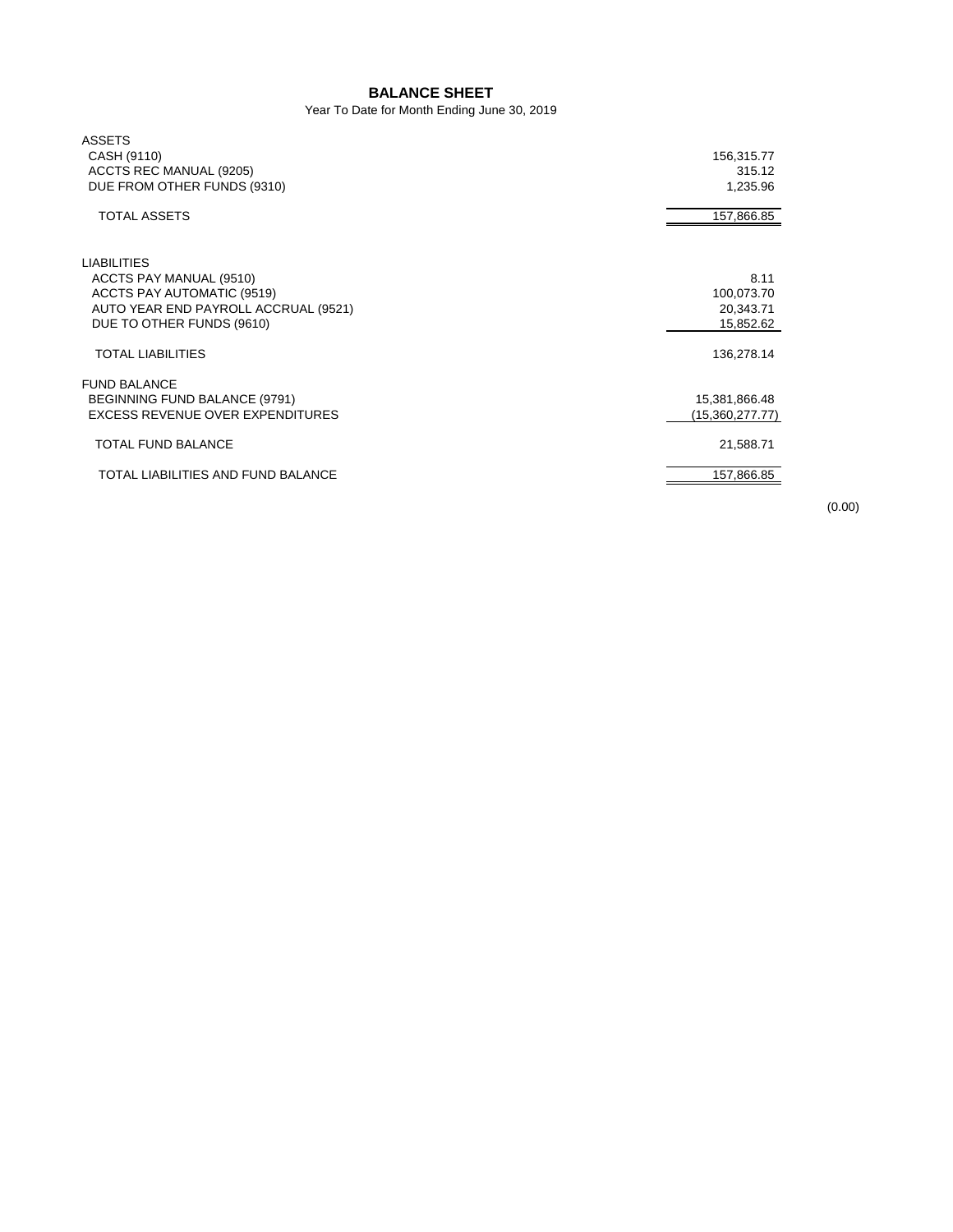## **BALANCE SHEET**

Year To Date for Month Ending June 30, 2019

| <b>ASSETS</b>                        |                 |
|--------------------------------------|-----------------|
| CASH (9110)                          | 156,315.77      |
| ACCTS REC MANUAL (9205)              | 315.12          |
| DUE FROM OTHER FUNDS (9310)          | 1,235.96        |
| <b>TOTAL ASSETS</b>                  | 157,866.85      |
| <b>LIABILITIES</b>                   |                 |
| ACCTS PAY MANUAL (9510)              | 8.11            |
| ACCTS PAY AUTOMATIC (9519)           | 100,073.70      |
| AUTO YEAR END PAYROLL ACCRUAL (9521) | 20,343.71       |
| DUE TO OTHER FUNDS (9610)            | 15,852.62       |
| <b>TOTAL LIABILITIES</b>             | 136,278.14      |
| <b>FUND BALANCE</b>                  |                 |
| <b>BEGINNING FUND BALANCE (9791)</b> | 15,381,866.48   |
| EXCESS REVENUE OVER EXPENDITURES     | (15,360,277.77) |
| TOTAL FUND BALANCE                   | 21,588.71       |
| TOTAL LIABILITIES AND FUND BALANCE   | 157,866.85      |

(0.00)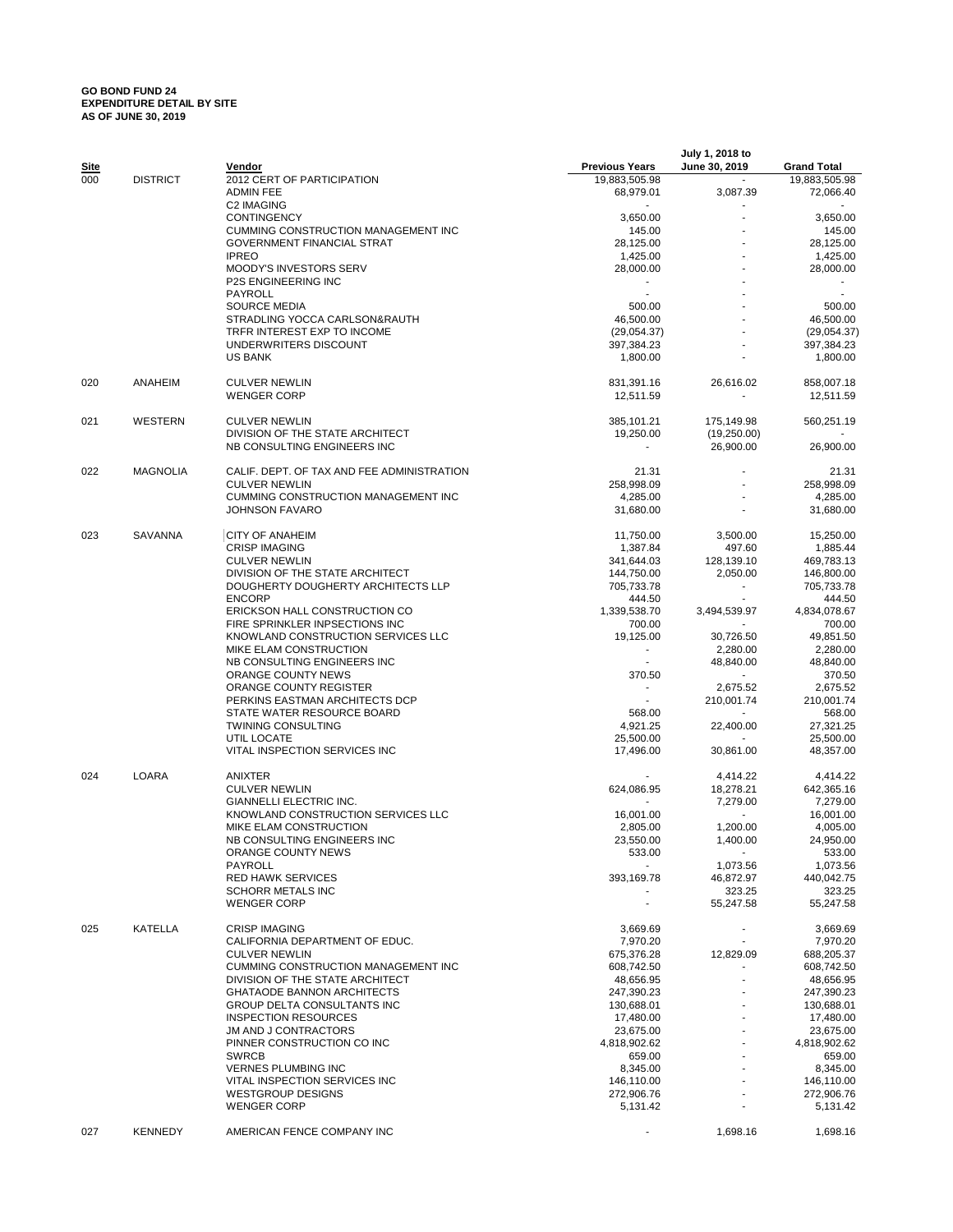## **GO BOND FUND 24 EXPENDITURE DETAIL BY SITE AS OF JUNE 30, 2019**

| Site |                 | Vendor                                                                   | <b>Previous Years</b>       | July 1, 2018 to<br>June 30, 2019 | <b>Grand Total</b>     |
|------|-----------------|--------------------------------------------------------------------------|-----------------------------|----------------------------------|------------------------|
| 000  | <b>DISTRICT</b> | 2012 CERT OF PARTICIPATION                                               | 19,883,505.98               |                                  | 19,883,505.98          |
|      |                 | <b>ADMIN FEE</b>                                                         | 68,979.01                   | 3,087.39                         | 72,066.40              |
|      |                 | <b>C2 IMAGING</b>                                                        |                             |                                  |                        |
|      |                 | <b>CONTINGENCY</b>                                                       | 3,650.00                    |                                  | 3,650.00               |
|      |                 | CUMMING CONSTRUCTION MANAGEMENT INC<br><b>GOVERNMENT FINANCIAL STRAT</b> | 145.00<br>28,125.00         |                                  | 145.00<br>28,125.00    |
|      |                 | <b>IPREO</b>                                                             | 1,425.00                    |                                  | 1,425.00               |
|      |                 | <b>MOODY'S INVESTORS SERV</b>                                            | 28,000.00                   |                                  | 28,000.00              |
|      |                 | P2S ENGINEERING INC                                                      |                             |                                  |                        |
|      |                 | PAYROLL                                                                  |                             |                                  |                        |
|      |                 | <b>SOURCE MEDIA</b>                                                      | 500.00                      |                                  | 500.00                 |
|      |                 | STRADLING YOCCA CARLSON&RAUTH                                            | 46,500.00                   |                                  | 46,500.00              |
|      |                 | TRFR INTEREST EXP TO INCOME                                              | (29,054.37)                 |                                  | (29,054.37)            |
|      |                 | UNDERWRITERS DISCOUNT                                                    | 397,384.23                  |                                  | 397,384.23             |
|      |                 | US BANK                                                                  | 1,800.00                    |                                  | 1,800.00               |
| 020  | ANAHEIM         | <b>CULVER NEWLIN</b>                                                     | 831,391.16                  | 26,616.02                        | 858,007.18             |
|      |                 | <b>WENGER CORP</b>                                                       | 12,511.59                   |                                  | 12,511.59              |
| 021  | WESTERN         | <b>CULVER NEWLIN</b>                                                     | 385,101.21                  | 175,149.98                       | 560,251.19             |
|      |                 | DIVISION OF THE STATE ARCHITECT                                          | 19,250.00                   | (19,250.00)                      |                        |
|      |                 | NB CONSULTING ENGINEERS INC                                              |                             | 26,900.00                        | 26,900.00              |
| 022  | <b>MAGNOLIA</b> | CALIF. DEPT. OF TAX AND FEE ADMINISTRATION                               | 21.31                       |                                  | 21.31                  |
|      |                 | <b>CULVER NEWLIN</b>                                                     | 258,998.09                  |                                  | 258,998.09             |
|      |                 | CUMMING CONSTRUCTION MANAGEMENT INC                                      | 4,285.00                    |                                  | 4,285.00               |
|      |                 | <b>JOHNSON FAVARO</b>                                                    | 31,680.00                   |                                  | 31,680.00              |
| 023  | <b>SAVANNA</b>  | <b>CITY OF ANAHEIM</b>                                                   | 11,750.00                   | 3,500.00                         | 15,250.00              |
|      |                 | <b>CRISP IMAGING</b>                                                     | 1,387.84                    | 497.60                           | 1,885.44               |
|      |                 | <b>CULVER NEWLIN</b>                                                     | 341,644.03                  | 128,139.10                       | 469,783.13             |
|      |                 | DIVISION OF THE STATE ARCHITECT                                          | 144,750.00                  | 2.050.00                         | 146,800.00             |
|      |                 | DOUGHERTY DOUGHERTY ARCHITECTS LLP                                       | 705,733.78                  | ÷.                               | 705,733.78             |
|      |                 | <b>ENCORP</b>                                                            | 444.50                      |                                  | 444.50                 |
|      |                 | ERICKSON HALL CONSTRUCTION CO                                            | 1,339,538.70                | 3,494,539.97                     | 4,834,078.67           |
|      |                 | FIRE SPRINKLER INPSECTIONS INC                                           | 700.00                      |                                  | 700.00                 |
|      |                 | KNOWLAND CONSTRUCTION SERVICES LLC<br>MIKE ELAM CONSTRUCTION             | 19,125.00<br>$\blacksquare$ | 30,726.50<br>2,280.00            | 49,851.50<br>2,280.00  |
|      |                 | NB CONSULTING ENGINEERS INC                                              |                             | 48,840.00                        | 48,840.00              |
|      |                 | ORANGE COUNTY NEWS                                                       | 370.50                      |                                  | 370.50                 |
|      |                 | ORANGE COUNTY REGISTER                                                   | $\blacksquare$              | 2,675.52                         | 2,675.52               |
|      |                 | PERKINS EASTMAN ARCHITECTS DCP                                           |                             | 210,001.74                       | 210,001.74             |
|      |                 | STATE WATER RESOURCE BOARD                                               | 568.00                      |                                  | 568.00                 |
|      |                 | <b>TWINING CONSULTING</b>                                                | 4,921.25                    | 22,400.00                        | 27,321.25              |
|      |                 | UTIL LOCATE                                                              | 25,500.00                   |                                  | 25,500.00              |
|      |                 | VITAL INSPECTION SERVICES INC                                            | 17.496.00                   | 30,861.00                        | 48,357.00              |
| 024  | LOARA           | ANIXTER                                                                  |                             | 4,414.22                         | 4,414.22               |
|      |                 | <b>CULVER NEWLIN</b>                                                     | 624,086.95                  | 18,278.21                        | 642,365.16             |
|      |                 | GIANNELLI ELECTRIC INC.                                                  |                             | 7.279.00                         | 7,279.00               |
|      |                 | KNOWLAND CONSTRUCTION SERVICES LLC                                       | 16,001.00                   |                                  | 16,001.00              |
|      |                 | MIKE ELAM CONSTRUCTION                                                   | 2,805.00                    | 1,200.00                         | 4,005.00               |
|      |                 | NB CONSULTING ENGINEERS INC                                              | 23,550.00                   | 1,400.00                         | 24,950.00              |
|      |                 | ORANGE COUNTY NEWS<br>PAYROLL                                            | 533.00<br>$\sim$            |                                  | 533.00                 |
|      |                 | <b>RED HAWK SERVICES</b>                                                 | 393,169.78                  | 1,073.56<br>46,872.97            | 1,073.56<br>440,042.75 |
|      |                 | SCHORR METALS INC                                                        |                             | 323.25                           | 323.25                 |
|      |                 | <b>WENGER CORP</b>                                                       |                             | 55,247.58                        | 55,247.58              |
| 025  | KATELLA         | <b>CRISP IMAGING</b>                                                     | 3,669.69                    | $\sim$                           | 3,669.69               |
|      |                 | CALIFORNIA DEPARTMENT OF EDUC.                                           | 7,970.20                    | $\sim$                           | 7,970.20               |
|      |                 | <b>CULVER NEWLIN</b>                                                     | 675,376.28                  | 12,829.09                        | 688,205.37             |
|      |                 | CUMMING CONSTRUCTION MANAGEMENT INC                                      | 608,742.50                  |                                  | 608,742.50             |
|      |                 | DIVISION OF THE STATE ARCHITECT                                          | 48,656.95                   |                                  | 48,656.95              |
|      |                 | <b>GHATAODE BANNON ARCHITECTS</b>                                        | 247,390.23                  |                                  | 247,390.23             |
|      |                 | GROUP DELTA CONSULTANTS INC                                              | 130,688.01                  |                                  | 130,688.01             |
|      |                 | <b>INSPECTION RESOURCES</b>                                              | 17,480.00                   |                                  | 17,480.00              |
|      |                 | JM AND J CONTRACTORS                                                     | 23,675.00                   |                                  | 23,675.00              |
|      |                 | PINNER CONSTRUCTION CO INC<br><b>SWRCB</b>                               | 4,818,902.62<br>659.00      |                                  | 4,818,902.62<br>659.00 |
|      |                 | <b>VERNES PLUMBING INC</b>                                               | 8,345.00                    |                                  | 8,345.00               |
|      |                 | VITAL INSPECTION SERVICES INC                                            | 146,110.00                  |                                  | 146,110.00             |
|      |                 | <b>WESTGROUP DESIGNS</b>                                                 | 272,906.76                  |                                  | 272,906.76             |
|      |                 | <b>WENGER CORP</b>                                                       | 5,131.42                    |                                  | 5,131.42               |
| 027  | <b>KENNEDY</b>  | AMERICAN FENCE COMPANY INC                                               |                             | 1,698.16                         | 1,698.16               |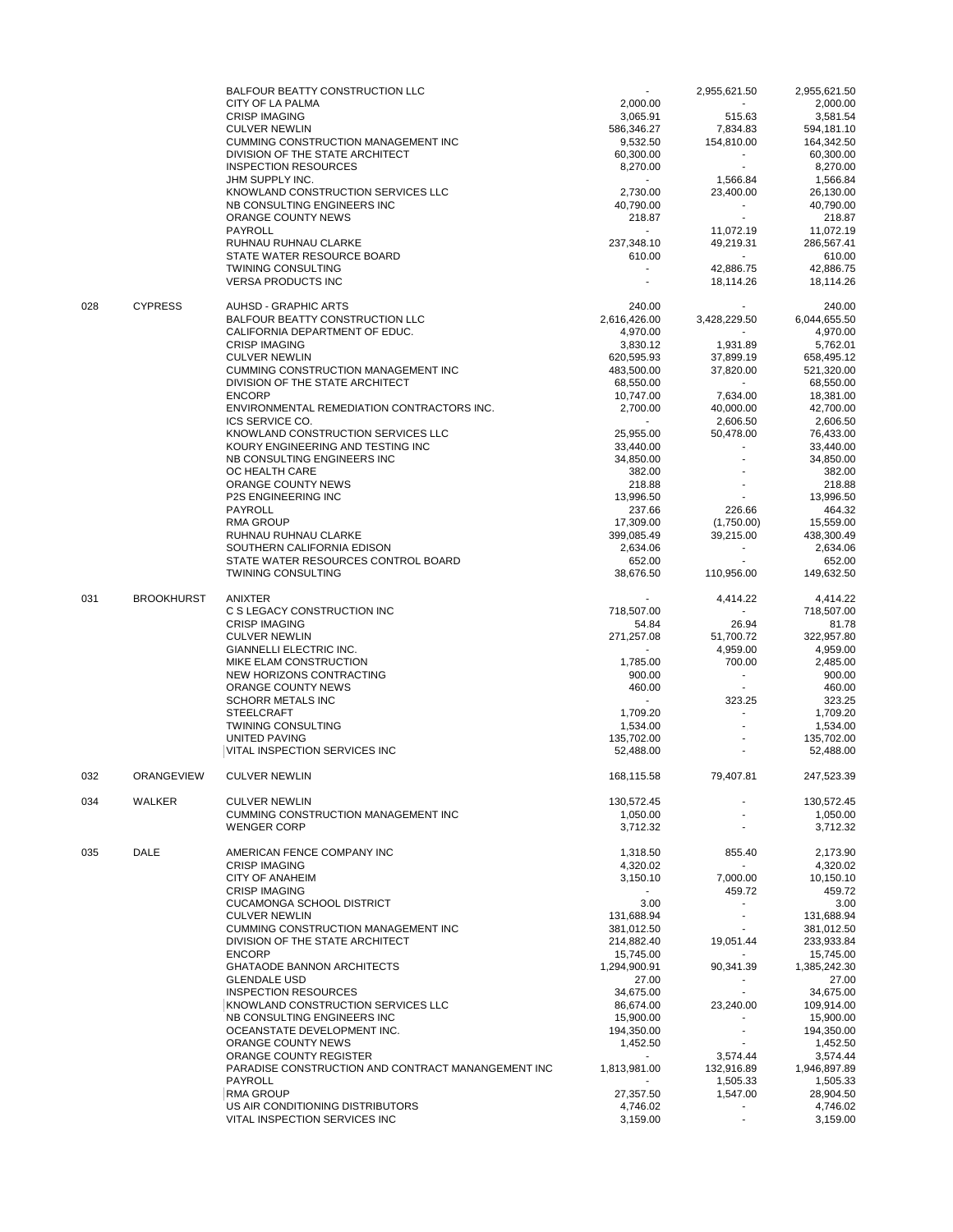|     |                   | <b>BALFOUR BEATTY CONSTRUCTION LLC</b>                         | $\sim$                 | 2,955,621.50         | 2,955,621.50          |
|-----|-------------------|----------------------------------------------------------------|------------------------|----------------------|-----------------------|
|     |                   | CITY OF LA PALMA                                               | 2,000.00               | $\sim$               | 2,000.00              |
|     |                   | <b>CRISP IMAGING</b>                                           | 3,065.91               | 515.63               | 3,581.54              |
|     |                   | <b>CULVER NEWLIN</b>                                           | 586,346.27             | 7,834.83             | 594,181.10            |
|     |                   | CUMMING CONSTRUCTION MANAGEMENT INC                            | 9,532.50               | 154,810.00           | 164,342.50            |
|     |                   | DIVISION OF THE STATE ARCHITECT<br><b>INSPECTION RESOURCES</b> | 60,300.00              | $\sim$<br>$\sim$     | 60,300.00             |
|     |                   | JHM SUPPLY INC.                                                | 8,270.00<br>$\sim$ $-$ | 1,566.84             | 8,270.00<br>1,566.84  |
|     |                   | KNOWLAND CONSTRUCTION SERVICES LLC                             | 2,730.00               | 23,400.00            | 26,130.00             |
|     |                   | NB CONSULTING ENGINEERS INC                                    | 40,790.00              | $\sim$               | 40,790.00             |
|     |                   | ORANGE COUNTY NEWS                                             | 218.87                 |                      | 218.87                |
|     |                   | PAYROLL                                                        |                        | 11,072.19            | 11,072.19             |
|     |                   | RUHNAU RUHNAU CLARKE                                           | 237,348.10             | 49,219.31            | 286,567.41            |
|     |                   | STATE WATER RESOURCE BOARD                                     | 610.00                 | $\sim$               | 610.00                |
|     |                   | <b>TWINING CONSULTING</b>                                      |                        | 42,886.75            | 42,886.75             |
|     |                   | <b>VERSA PRODUCTS INC</b>                                      | $\sim$                 | 18,114.26            | 18,114.26             |
| 028 | <b>CYPRESS</b>    | <b>AUHSD - GRAPHIC ARTS</b>                                    | 240.00                 |                      | 240.00                |
|     |                   | <b>BALFOUR BEATTY CONSTRUCTION LLC</b>                         | 2,616,426.00           | 3,428,229.50         | 6,044,655.50          |
|     |                   | CALIFORNIA DEPARTMENT OF EDUC.                                 | 4,970.00               | $\sim$               | 4,970.00              |
|     |                   | <b>CRISP IMAGING</b>                                           | 3,830.12               | 1,931.89             | 5,762.01              |
|     |                   | <b>CULVER NEWLIN</b>                                           | 620,595.93             | 37,899.19            | 658,495.12            |
|     |                   | CUMMING CONSTRUCTION MANAGEMENT INC                            | 483,500.00             | 37,820.00            | 521,320.00            |
|     |                   | DIVISION OF THE STATE ARCHITECT                                | 68,550.00              | $\sim$               | 68,550.00             |
|     |                   | <b>ENCORP</b>                                                  | 10,747.00              | 7,634.00             | 18,381.00             |
|     |                   | ENVIRONMENTAL REMEDIATION CONTRACTORS INC.                     | 2,700.00               | 40,000.00            | 42,700.00             |
|     |                   | ICS SERVICE CO.                                                | $\sim$ $-$             | 2,606.50             | 2,606.50              |
|     |                   | KNOWLAND CONSTRUCTION SERVICES LLC                             | 25,955.00              | 50,478.00            | 76,433.00             |
|     |                   | KOURY ENGINEERING AND TESTING INC                              | 33,440.00              |                      | 33,440.00             |
|     |                   | NB CONSULTING ENGINEERS INC                                    | 34,850.00              |                      | 34,850.00             |
|     |                   | OC HEALTH CARE                                                 | 382.00                 |                      | 382.00                |
|     |                   | ORANGE COUNTY NEWS                                             | 218.88                 |                      | 218.88                |
|     |                   | <b>P2S ENGINEERING INC</b>                                     | 13,996.50              |                      | 13,996.50             |
|     |                   | PAYROLL                                                        | 237.66                 | 226.66               | 464.32                |
|     |                   | <b>RMA GROUP</b>                                               | 17,309.00              | (1,750.00)           | 15,559.00             |
|     |                   | RUHNAU RUHNAU CLARKE                                           | 399,085.49             | 39,215.00            | 438,300.49            |
|     |                   | SOUTHERN CALIFORNIA EDISON                                     | 2,634.06               | $\blacksquare$       | 2,634.06              |
|     |                   | STATE WATER RESOURCES CONTROL BOARD                            | 652.00                 | $\sim$               | 652.00                |
|     |                   | <b>TWINING CONSULTING</b>                                      | 38,676.50              | 110,956.00           | 149,632.50            |
| 031 | <b>BROOKHURST</b> | ANIXTER                                                        |                        | 4,414.22             | 4,414.22              |
|     |                   | C S LEGACY CONSTRUCTION INC                                    | 718,507.00             | $\sim$               | 718,507.00            |
|     |                   | <b>CRISP IMAGING</b>                                           | 54.84                  | 26.94                | 81.78                 |
|     |                   | <b>CULVER NEWLIN</b>                                           | 271,257.08             | 51,700.72            | 322,957.80            |
|     |                   | GIANNELLI ELECTRIC INC.                                        | $\sim$                 | 4,959.00             | 4,959.00              |
|     |                   | MIKE ELAM CONSTRUCTION                                         | 1,785.00               | 700.00               | 2,485.00              |
|     |                   | NEW HORIZONS CONTRACTING                                       | 900.00                 |                      | 900.00                |
|     |                   | ORANGE COUNTY NEWS                                             | 460.00                 |                      | 460.00                |
|     |                   | <b>SCHORR METALS INC</b>                                       | $\sim$                 | 323.25               | 323.25                |
|     |                   | <b>STEELCRAFT</b>                                              | 1,709.20               |                      | 1,709.20              |
|     |                   | <b>TWINING CONSULTING</b>                                      | 1,534.00               |                      | 1,534.00              |
|     |                   | UNITED PAVING                                                  | 135,702.00             |                      | 135,702.00            |
|     |                   | VITAL INSPECTION SERVICES INC                                  | 52,488.00              |                      | 52,488.00             |
| 032 | <b>ORANGEVIEW</b> | <b>CULVER NEWLIN</b>                                           | 168,115.58             | 79,407.81            | 247,523.39            |
|     |                   |                                                                |                        |                      |                       |
| 034 | WALKER            | <b>CULVER NEWLIN</b>                                           | 130,572.45             |                      | 130,572.45            |
|     |                   | CUMMING CONSTRUCTION MANAGEMENT INC                            | 1,050.00               |                      | 1,050.00              |
|     |                   | <b>WENGER CORP</b>                                             | 3,712.32               |                      | 3,712.32              |
| 035 | <b>DALE</b>       | AMERICAN FENCE COMPANY INC                                     | 1,318.50               | 855.40               | 2,173.90              |
|     |                   | <b>CRISP IMAGING</b>                                           | 4,320.02               | $\blacksquare$       | 4,320.02              |
|     |                   | <b>CITY OF ANAHEIM</b>                                         | 3,150.10               | 7,000.00             | 10.150.10             |
|     |                   | <b>CRISP IMAGING</b>                                           | $\sim$                 | 459.72               | 459.72                |
|     |                   | <b>CUCAMONGA SCHOOL DISTRICT</b>                               | 3.00                   |                      | 3.00                  |
|     |                   | <b>CULVER NEWLIN</b>                                           | 131,688.94             | ÷                    | 131,688.94            |
|     |                   | CUMMING CONSTRUCTION MANAGEMENT INC                            | 381,012.50             |                      | 381,012.50            |
|     |                   | DIVISION OF THE STATE ARCHITECT                                | 214,882.40             | 19,051.44            | 233,933.84            |
|     |                   | <b>ENCORP</b>                                                  | 15,745.00              |                      | 15,745.00             |
|     |                   | <b>GHATAODE BANNON ARCHITECTS</b>                              | 1,294,900.91           | 90,341.39            | 1,385,242.30          |
|     |                   | <b>GLENDALE USD</b>                                            | 27.00                  | ٠<br>÷.              | 27.00                 |
|     |                   | <b>INSPECTION RESOURCES</b>                                    | 34,675.00              |                      | 34,675.00             |
|     |                   | KNOWLAND CONSTRUCTION SERVICES LLC                             | 86,674.00              | 23,240.00            | 109,914.00            |
|     |                   | NB CONSULTING ENGINEERS INC                                    | 15,900.00              |                      | 15,900.00             |
|     |                   | OCEANSTATE DEVELOPMENT INC.                                    | 194,350.00             | ÷                    | 194,350.00            |
|     |                   | ORANGE COUNTY NEWS                                             | 1,452.50               |                      | 1,452.50              |
|     |                   | ORANGE COUNTY REGISTER                                         | $\sim$                 | 3,574.44             | 3,574.44              |
|     |                   | PARADISE CONSTRUCTION AND CONTRACT MANANGEMENT INC             | 1,813,981.00           | 132,916.89           | 1,946,897.89          |
|     |                   | PAYROLL<br><b>RMA GROUP</b>                                    | 27,357.50              | 1,505.33<br>1,547.00 | 1,505.33<br>28,904.50 |
|     |                   | US AIR CONDITIONING DISTRIBUTORS                               | 4,746.02               | ٠                    | 4,746.02              |
|     |                   | VITAL INSPECTION SERVICES INC                                  | 3,159.00               | $\blacksquare$       | 3,159.00              |
|     |                   |                                                                |                        |                      |                       |